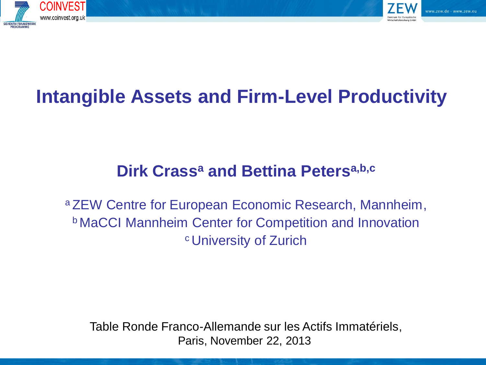



# **Intangible Assets and Firm-Level Productivity**

### **Dirk Crass<sup>a</sup> and Bettina Petersa,b,c**

<sup>a</sup> ZEW Centre for European Economic Research, Mannheim, <sup>b</sup> MaCCI Mannheim Center for Competition and Innovation <sup>c</sup> University of Zurich

Table Ronde Franco-Allemande sur les Actifs Immatériels, Paris, November 22, 2013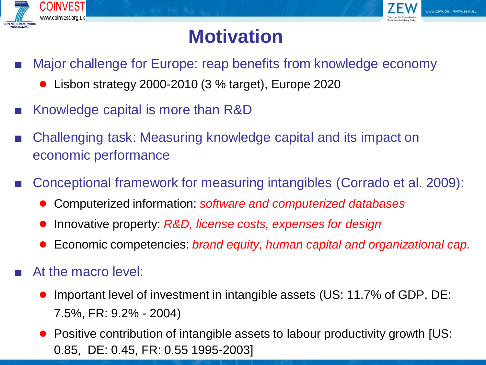



# **Motivation**

- Major challenge for Europe: reap benefits from knowledge economy
	- Lisbon strategy 2000-2010 (3 % target), Europe 2020
- Knowledge capital is more than R&D
- Challenging task: Measuring knowledge capital and its impact on economic performance
- Conceptional framework for measuring intangibles (Corrado et al. 2009):
	- Computerized information: *software and computerized databases*
	- Innovative property: *R&D, license costs, expenses for design*
	- Economic competencies: *brand equity, human capital and organizational cap.*
- At the macro level:
	- Important level of investment in intangible assets (US: 11.7% of GDP, DE: 7.5%, FR: 9.2% - 2004)
	- Positive contribution of intangible assets to labour productivity growth [US: 0.85, DE: 0.45, FR: 0.55 1995-2003]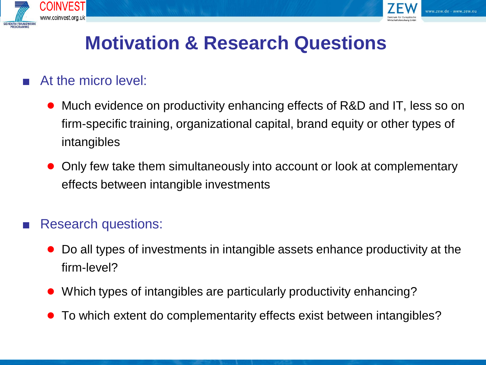



# **Motivation & Research Questions**

#### At the micro level:

- Much evidence on productivity enhancing effects of R&D and IT, less so on firm-specific training, organizational capital, brand equity or other types of intangibles
- Only few take them simultaneously into account or look at complementary effects between intangible investments

#### Research questions:

- Do all types of investments in intangible assets enhance productivity at the firm-level?
- Which types of intangibles are particularly productivity enhancing?
- To which extent do complementarity effects exist between intangibles?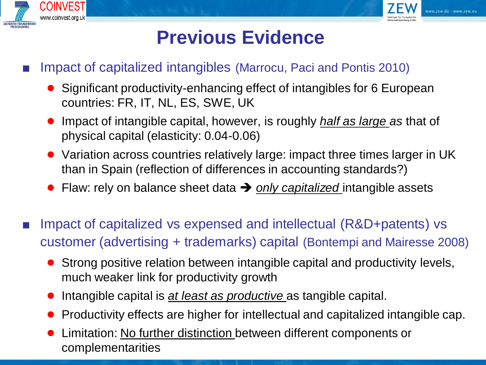



# **Previous Evidence**

- Impact of capitalized intangibles (Marrocu, Paci and Pontis 2010)
	- Significant productivity-enhancing effect of intangibles for 6 European countries: FR, IT, NL, ES, SWE, UK
	- Impact of intangible capital, however, is roughly *half as large as* that of physical capital (elasticity: 0.04-0.06)
	- Variation across countries relatively large: impact three times larger in UK than in Spain (reflection of differences in accounting standards?)
	- Flaw: rely on balance sheet data → only capitalized intangible assets
- Impact of capitalized vs expensed and intellectual (R&D+patents) vs customer (advertising + trademarks) capital (Bontempi and Mairesse 2008)
	- Strong positive relation between intangible capital and productivity levels, much weaker link for productivity growth
	- Intangible capital is *at least as productive* as tangible capital.
	- Productivity effects are higher for intellectual and capitalized intangible cap.
	- Limitation: No further distinction between different components or complementarities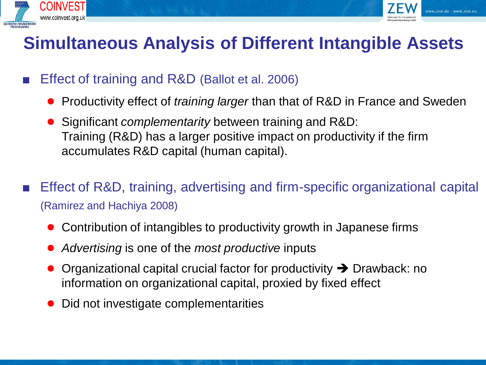



### **Simultaneous Analysis of Different Intangible Assets**

- Effect of training and R&D (Ballot et al. 2006)
	- Productivity effect of *training larger* than that of R&D in France and Sweden
	- Significant *complementarity* between training and R&D: Training (R&D) has a larger positive impact on productivity if the firm accumulates R&D capital (human capital).
- Effect of R&D, training, advertising and firm-specific organizational capital (Ramirez and Hachiya 2008)
	- Contribution of intangibles to productivity growth in Japanese firms
	- *Advertising* is one of the *most productive* inputs
	- Organizational capital crucial factor for productivity  $\rightarrow$  Drawback: no information on organizational capital, proxied by fixed effect
	- Did not investigate complementarities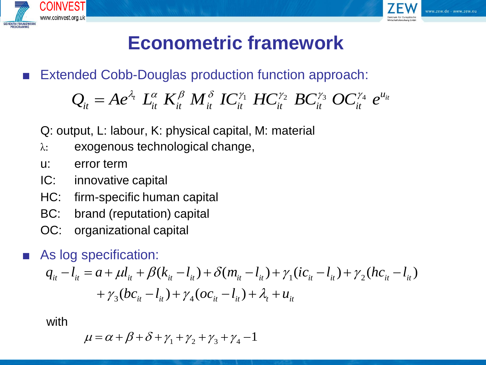



# **Econometric framework**

■ Extended Cobb-Douglas production function approach:

\n indeed Cobb-Douglas production function approach:\n 
$$
Q_{it} = Ae^{\lambda_t} \, L_{it}^{\alpha} \, K_{it}^{\beta} \, M_{it}^{\delta} \, IC_{it}^{\gamma_1} \, HC_{it}^{\gamma_2} \, BC_{it}^{\gamma_3} \, OC_{it}^{\gamma_4} \, e^{u_{it}}
$$
\n

Q: output, L: labour, K: physical capital, M: material

- λ: exogenous technological change,
- u: error term
- IC: innovative capital
- HC: firm-specific human capital
- BC: brand (reputation) capital
- OC: organizational capital
- As log specification:

1 2 3 4 ( ) ( ) ( ) ( ) ( ) ( ) *it it it it it it it it it it it it it it it t it q l a l k l m l ic l hc l bc l oc l u* 

with

$$
\mu = \alpha + \beta + \delta + \gamma_1 + \gamma_2 + \gamma_3 + \gamma_4 - 1
$$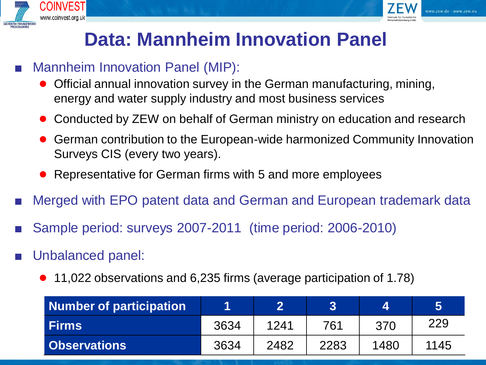



# **Data: Mannheim Innovation Panel**

- Mannheim Innovation Panel (MIP):
	- Official annual innovation survey in the German manufacturing, mining, energy and water supply industry and most business services
	- Conducted by ZEW on behalf of German ministry on education and research
	- German contribution to the European-wide harmonized Community Innovation Surveys CIS (every two years).
	- Representative for German firms with 5 and more employees
- Merged with EPO patent data and German and European trademark data
- Sample period: surveys 2007-2011 (time period: 2006-2010)
- Unbalanced panel:
	- 11,022 observations and 6,235 firms (average participation of 1.78)

| <b>Number of participation</b> |      |      | 3    |      |      |
|--------------------------------|------|------|------|------|------|
| <b>Firms</b>                   | 3634 | 1241 | 761  | 370  | 229  |
| <b>Observations</b>            | 3634 | 2482 | 2283 | 1480 | 1145 |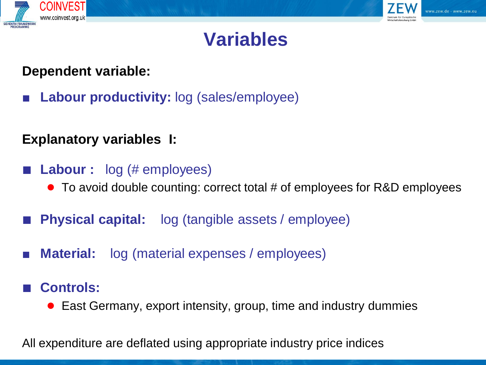



## **Variables**

#### **Dependent variable:**

**Labour productivity:** log (sales/employee)

#### **Explanatory variables I:**

- **Labour** : log (# employees)
	- To avoid double counting: correct total # of employees for R&D employees
- **Physical capital:** log (tangible assets / employee)
- **Material:**  $log (material expenses / employees)$
- **Controls:**
	- East Germany, export intensity, group, time and industry dummies

All expenditure are deflated using appropriate industry price indices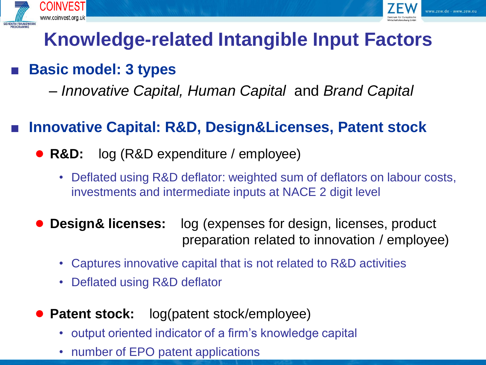



# **Knowledge-related Intangible Input Factors**

### **Basic model: 3 types**

– *Innovative Capital, Human Capital* and *Brand Capital*

### **Innovative Capital: R&D, Design&Licenses, Patent stock**

- **R&D:** log (R&D expenditure / employee)
	- Deflated using R&D deflator: weighted sum of deflators on labour costs, investments and intermediate inputs at NACE 2 digit level
- **Design& licenses:** log (expenses for design, licenses, product preparation related to innovation / employee)
	- Captures innovative capital that is not related to R&D activities
	- Deflated using R&D deflator
- **Patent stock:** log(patent stock/employee)
	- output oriented indicator of a firm's knowledge capital
	- number of EPO patent applications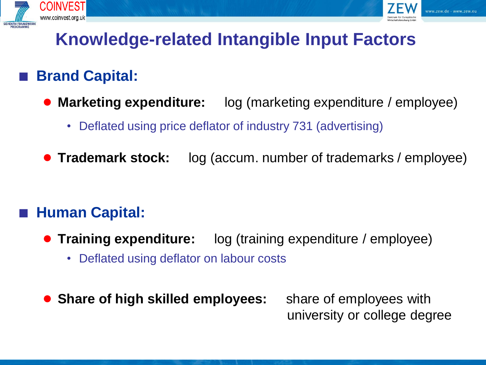



# **Knowledge-related Intangible Input Factors**

### **Brand Capital:**

- **Marketing expenditure:** log (marketing expenditure / employee)
	- Deflated using price deflator of industry 731 (advertising)
- **Trademark stock:** log (accum. number of trademarks / employee)

### ■ **Human Capital:**

- **Training expenditure:** log (training expenditure / employee)
	- Deflated using deflator on labour costs
- **Share of high skilled employees:** share of employees with

university or college degree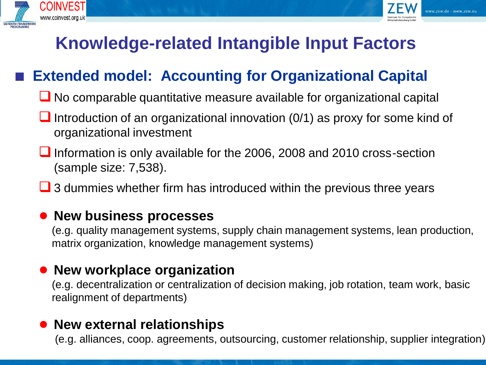



### **Knowledge-related Intangible Input Factors**

### **Extended model: Accounting for Organizational Capital**

- No comparable quantitative measure available for organizational capital
- Introduction of an organizational innovation  $(0/1)$  as proxy for some kind of organizational investment
- Information is only available for the 2006, 2008 and 2010 cross-section (sample size: 7,538).
- **J** 3 dummies whether firm has introduced within the previous three years

#### ● **New business processes**

(e.g. quality management systems, supply chain management systems, lean production, matrix organization, knowledge management systems)

#### ● **New workplace organization**

(e.g. decentralization or centralization of decision making, job rotation, team work, basic realignment of departments)

#### ● **New external relationships**

(e.g. alliances, coop. agreements, outsourcing, customer relationship, supplier integration)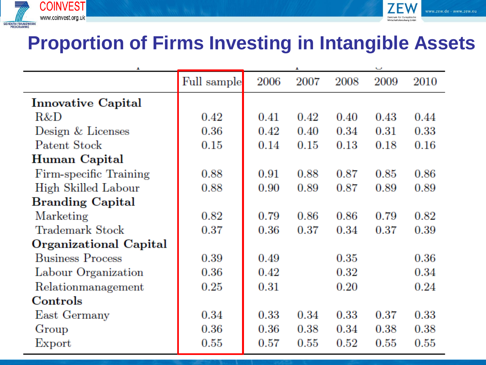



## **Proportion of Firms Investing in Intangible Assets**

| д                         |             |      |          |      |      |          |
|---------------------------|-------------|------|----------|------|------|----------|
|                           | Full sample | 2006 | 2007     | 2008 | 2009 | 2010     |
| <b>Innovative Capital</b> |             |      |          |      |      |          |
| R&D                       | 0.42        | 0.41 | $0.42\,$ | 0.40 | 0.43 | 0.44     |
| Design & Licenses         | 0.36        | 0.42 | 0.40     | 0.34 | 0.31 | 0.33     |
| Patent Stock              | 0.15        | 0.14 | 0.15     | 0.13 | 0.18 | 0.16     |
| Human Capital             |             |      |          |      |      |          |
| Firm-specific Training    | 0.88        | 0.91 | 0.88     | 0.87 | 0.85 | 0.86     |
| High Skilled Labour       | 0.88        | 0.90 | 0.89     | 0.87 | 0.89 | 0.89     |
| <b>Branding Capital</b>   |             |      |          |      |      |          |
| Marketing                 | 0.82        | 0.79 | 0.86     | 0.86 | 0.79 | 0.82     |
| Trademark Stock           | 0.37        | 0.36 | 0.37     | 0.34 | 0.37 | 0.39     |
| Organizational Capital    |             |      |          |      |      |          |
| <b>Business Process</b>   | 0.39        | 0.49 |          | 0.35 |      | $0.36\,$ |
| Labour Organization       | $0.36\,$    | 0.42 |          | 0.32 |      | 0.34     |
| Relationmanagement        | 0.25        | 0.31 |          | 0.20 |      | 0.24     |
| Controls                  |             |      |          |      |      |          |
| East Germany              | $0.34\,$    | 0.33 | 0.34     | 0.33 | 0.37 | 0.33     |
| Group                     | 0.36        | 0.36 | $0.38\,$ | 0.34 | 0.38 | 0.38     |
| Export                    | 0.55        | 0.57 | 0.55     | 0.52 | 0.55 | 0.55     |
|                           |             |      |          |      |      |          |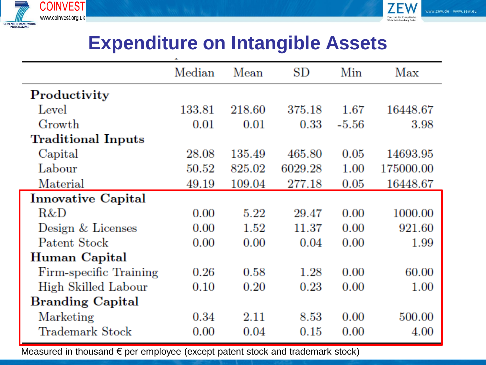



### **Expenditure on Intangible Assets**

|                           | Median | Mean   | SD      | Min     | Max       |
|---------------------------|--------|--------|---------|---------|-----------|
| Productivity              |        |        |         |         |           |
| Level                     | 133.81 | 218.60 | 375.18  | 1.67    | 16448.67  |
| Growth                    | 0.01   | 0.01   | 0.33    | $-5.56$ | 3.98      |
| <b>Traditional Inputs</b> |        |        |         |         |           |
| Capital                   | 28.08  | 135.49 | 465.80  | 0.05    | 14693.95  |
| Labour                    | 50.52  | 825.02 | 6029.28 | 1.00    | 175000.00 |
| Material                  | 49.19  | 109.04 | 277.18  | 0.05    | 16448.67  |
| <b>Innovative Capital</b> |        |        |         |         |           |
| R&D                       | 0.00   | 5.22   | 29.47   | 0.00    | 1000.00   |
| Design & Licenses         | 0.00   | 1.52   | 11.37   | 0.00    | 921.60    |
| Patent Stock              | 0.00   | 0.00   | 0.04    | 0.00    | 1.99      |
| Human Capital             |        |        |         |         |           |
| Firm-specific Training    | 0.26   | 0.58   | 1.28    | 0.00    | 60.00     |
| High Skilled Labour       | 0.10   | 0.20   | 0.23    | 0.00    | $1.00\,$  |
| <b>Branding Capital</b>   |        |        |         |         |           |
| Marketing                 | 0.34   | 2.11   | 8.53    | 0.00    | 500.00    |
| Trademark Stock           | 0.00   | 0.04   | 0.15    | 0.00    | 4.00      |

Measured in thousand € per employee (except patent stock and trademark stock)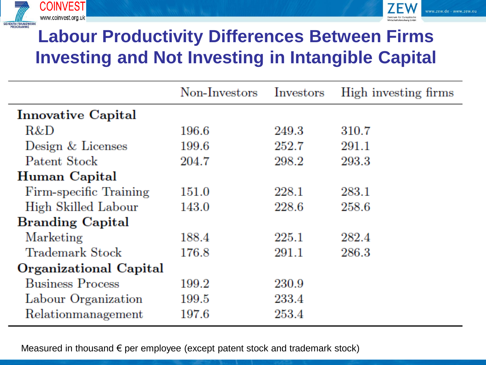



# **Labour Productivity Differences Between Firms Investing and Not Investing in Intangible Capital**

|                               | Non-Investors | Investors | High investing firms |
|-------------------------------|---------------|-----------|----------------------|
| <b>Innovative Capital</b>     |               |           |                      |
| R&D                           | 196.6         | 249.3     | 310.7                |
| Design & Licenses             | 199.6         | 252.7     | 291.1                |
| Patent Stock                  | 204.7         | 298.2     | 293.3                |
| Human Capital                 |               |           |                      |
| Firm-specific Training        | 151.0         | 228.1     | 283.1                |
| High Skilled Labour           | 143.0         | 228.6     | 258.6                |
| <b>Branding Capital</b>       |               |           |                      |
| Marketing                     | 188.4         | 225.1     | 282.4                |
| <b>Trademark Stock</b>        | 176.8         | 291.1     | 286.3                |
| <b>Organizational Capital</b> |               |           |                      |
| <b>Business Process</b>       | 199.2         | 230.9     |                      |
| Labour Organization           | 199.5         | 233.4     |                      |
| Relationmanagement            | 197.6         | 253.4     |                      |

Measured in thousand  $\epsilon$  per employee (except patent stock and trademark stock)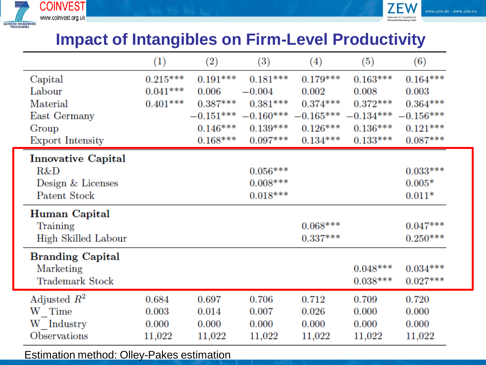



### **Impact of Intangibles on Firm-Level Productivity**

|                         | $\left(1\right)$ | $\left( 2\right)$ | $\left(3\right)$ | (4)        | (5)                                                         | (6)        |
|-------------------------|------------------|-------------------|------------------|------------|-------------------------------------------------------------|------------|
| Capital                 | $0.215***$       | $0.191***$        | $0.181***$       | $0.179***$ | $0.163***$                                                  | $0.164***$ |
| Labour                  | $0.041***$       | 0.006             | $-0.004$         | 0.002      | 0.008                                                       | 0.003      |
| Material                | $0.401***$       | $0.387***$        | $0.381***$       | $0.374***$ | $0.372***$                                                  | $0.364***$ |
| East Germany            |                  |                   |                  |            | $-0.151***$ $-0.160***$ $-0.165***$ $-0.134***$ $-0.156***$ |            |
| Group                   |                  | $0.146***$        | $0.139***$       | $0.126***$ | $0.136***$                                                  | $0.121***$ |
| <b>Export Intensity</b> |                  | $0.168***$        | $0.097***$       | $0.134***$ | $0.133***$                                                  | $0.087***$ |
| Innovative Capital      |                  |                   |                  |            |                                                             |            |
| R&D                     |                  |                   | $0.056***$       |            |                                                             | $0.033***$ |
| Design & Licenses       |                  |                   | $0.008***$       |            |                                                             | $0.005*$   |
| Patent Stock            |                  |                   | $0.018***$       |            |                                                             | $0.011*$   |
| Human Capital           |                  |                   |                  |            |                                                             |            |
| Training                |                  |                   |                  | $0.068***$ |                                                             | $0.047***$ |
| High Skilled Labour     |                  |                   |                  | $0.337***$ |                                                             | $0.250***$ |
| <b>Branding Capital</b> |                  |                   |                  |            |                                                             |            |
| Marketing               |                  |                   |                  |            | $0.048***$                                                  | $0.034***$ |
| Trademark Stock         |                  |                   |                  |            | $0.038***$                                                  | $0.027***$ |
| Adjusted $R^2$          | 0.684            | 0.697             | 0.706            | 0.712      | 0.709                                                       | 0.720      |
| W Time                  | 0.003            | 0.014             | 0.007            | 0.026      | 0.000                                                       | 0.000      |
| W Industry              | 0.000            | 0.000             | 0.000            | $0.000\,$  | 0.000                                                       | 0.000      |
| Observations            | 11,022           | 11,022            | 11,022           | 11,022     | 11,022                                                      | 11,022     |

Estimation method: Olley-Pakes estimation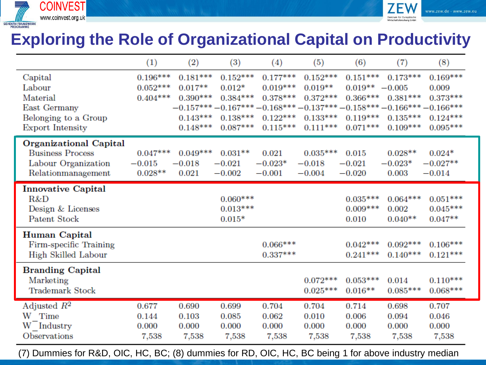

### **Exploring the Role of Organizational Capital on Productivity**

vww.zew.de · www.zew.eu

|                           | (1)        | (2)        | (3)        | (4)        | (5)        | (6)        | (7)                                                                | (8)        |
|---------------------------|------------|------------|------------|------------|------------|------------|--------------------------------------------------------------------|------------|
| Capital                   | $0.196***$ | $0.181***$ | $0.152***$ | $0.177***$ | $0.152***$ | $0.151***$ | $0.173***$                                                         | $0.169***$ |
| Labour                    | $0.052***$ | $0.017**$  | $0.012*$   | $0.019***$ | $0.019**$  | $0.019**$  | $-0.005$                                                           | 0.009      |
| Material                  | $0.404***$ | $0.390***$ | $0.384***$ | $0.378***$ | $0.372***$ | $0.366***$ | $0.381***$                                                         | $0.373***$ |
| East Germany              |            |            |            |            |            |            | $-0.157***-0.167***-0.168***-0.137***-0.158***-0.166***-0.166****$ |            |
| Belonging to a Group      |            | $0.143***$ | $0.138***$ | $0.122***$ | $0.133***$ | $0.119***$ | $0.135***$                                                         | $0.124***$ |
| <b>Export Intensity</b>   |            | $0.148***$ | $0.087***$ | $0.115***$ | $0.111***$ | $0.071***$ | $0.109***$                                                         | $0.095***$ |
| Organizational Capital    |            |            |            |            |            |            |                                                                    |            |
| <b>Business Process</b>   | $0.047***$ | $0.049***$ | $0.031**$  | 0.021      | $0.035***$ | 0.015      | $0.028**$                                                          | $0.024*$   |
| Labour Organization       | $-0.015$   | $-0.018$   | $-0.021$   | $-0.023*$  | $-0.018$   | $-0.021$   | $-0.023*$                                                          | $-0.027**$ |
| Relationmanagement        | $0.028**$  | 0.021      | $-0.002$   | $-0.001$   | $-0.004$   | $-0.020$   | 0.003                                                              | $-0.014$   |
| <b>Innovative Capital</b> |            |            |            |            |            |            |                                                                    |            |
| R&D                       |            |            | $0.060***$ |            |            | $0.035***$ | $0.064***$                                                         | $0.051***$ |
| Design & Licenses         |            |            | $0.013***$ |            |            | $0.009***$ | 0.002                                                              | $0.045***$ |
| Patent Stock              |            |            | $0.015*$   |            |            | 0.010      | $0.040**$                                                          | $0.047**$  |
| Human Capital             |            |            |            |            |            |            |                                                                    |            |
| Firm-specific Training    |            |            |            | $0.066***$ |            | $0.042***$ | $0.092***$                                                         | $0.106***$ |
| High Skilled Labour       |            |            |            | $0.337***$ |            | $0.241***$ | $0.140***$                                                         | $0.121***$ |
| <b>Branding Capital</b>   |            |            |            |            |            |            |                                                                    |            |
| Marketing                 |            |            |            |            | $0.072***$ | $0.053***$ | 0.014                                                              | $0.110***$ |
| <b>Trademark Stock</b>    |            |            |            |            | $0.025***$ | $0.016**$  | $0.085***$                                                         | $0.068***$ |
| Adjusted $R^2$            | 0.677      | 0.690      | 0.699      | 0.704      | 0.704      | 0.714      | 0.698                                                              | 0.707      |
| W Time                    | 0.144      | 0.103      | 0.085      | 0.062      | 0.010      | 0.006      | 0.094                                                              | 0.046      |
| W Industry                | 0.000      | 0.000      | 0.000      | 0.000      | 0.000      | 0.000      | 0.000                                                              | 0.000      |
| Observations              | 7,538      | 7,538      | 7,538      | 7,538      | 7,538      | 7,538      | 7,538                                                              | 7,538      |

(7) Dummies for R&D, OIC, HC, BC; (8) dummies for RD, OIC, HC, BC being 1 for above industry median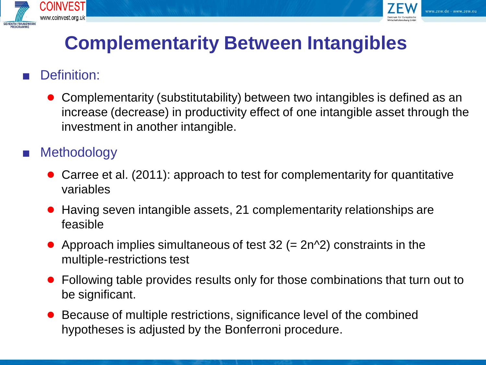



# **Complementarity Between Intangibles**

### Definition:

● Complementarity (substitutability) between two intangibles is defined as an increase (decrease) in productivity effect of one intangible asset through the investment in another intangible.

### **Methodology**

- Carree et al. (2011): approach to test for complementarity for quantitative variables
- Having seven intangible assets, 21 complementarity relationships are feasible
- Approach implies simultaneous of test  $32$  (=  $2n^2$ ) constraints in the multiple-restrictions test
- Following table provides results only for those combinations that turn out to be significant.
- Because of multiple restrictions, significance level of the combined hypotheses is adjusted by the Bonferroni procedure.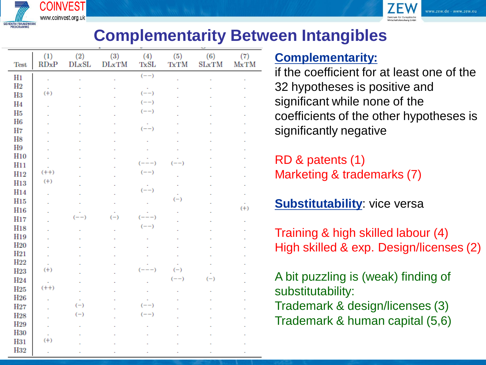



### **Complementarity Between Intangibles**

| Test             | $\left( 1\right)$<br>RDxP | $\left( 2\right)$<br>DLxSL | $\left(3\right)$<br><b>DLxTM</b> | $\left( 4\right)$<br>TxSL | (5)<br><b>TxTM</b> | (6)<br><b>SLxTM</b> | (7)<br><b>MxTM</b> |
|------------------|---------------------------|----------------------------|----------------------------------|---------------------------|--------------------|---------------------|--------------------|
| H1               |                           |                            |                                  | $(--)$                    |                    |                     |                    |
| $_{\rm H2}$      |                           |                            |                                  |                           |                    |                     |                    |
| H3               | $(+)$                     |                            |                                  | $(--)$                    |                    |                     |                    |
| H4               |                           |                            |                                  | $(--)$                    |                    |                     |                    |
| H5               |                           |                            |                                  | $(--)$                    |                    |                     |                    |
| H6               |                           |                            |                                  |                           |                    |                     |                    |
| H7               |                           |                            |                                  | $(--)$                    |                    |                     |                    |
| H8               |                           |                            |                                  |                           |                    |                     |                    |
| H9<br><b>H10</b> |                           |                            |                                  |                           |                    |                     |                    |
| H11              |                           |                            |                                  | $(---)$                   | $(--)$             |                     |                    |
| H12              | $(++)$                    |                            |                                  | $(--)$                    |                    |                     |                    |
| <b>H13</b>       | $(+)$                     |                            |                                  |                           |                    |                     |                    |
| H14              |                           |                            |                                  | $(--)$                    |                    |                     |                    |
| <b>H15</b>       |                           |                            |                                  |                           | $(-)$              |                     |                    |
| H16              |                           |                            |                                  |                           |                    |                     | $(+)$              |
| <b>H17</b>       |                           | $(- -)$                    | $(-)$                            | $(---)$                   |                    |                     |                    |
| H18              |                           |                            |                                  | $(--)$                    |                    |                     |                    |
| H19              |                           |                            |                                  |                           |                    |                     |                    |
| <b>H20</b>       |                           |                            |                                  |                           |                    |                     |                    |
| H21              |                           |                            |                                  |                           |                    |                     |                    |
| H22              |                           |                            |                                  |                           |                    |                     |                    |
| <b>H23</b>       | $(+)$                     |                            |                                  | $(---)$                   | $(-)$              |                     |                    |
| H24              |                           |                            |                                  |                           | $(--)$             | $(-)$               |                    |
| $_{\rm H25}$     | $(++)$                    |                            |                                  |                           |                    |                     |                    |
| <b>H26</b>       |                           |                            |                                  |                           |                    |                     |                    |
| H27              |                           | $(-)$                      |                                  | $(--)$                    |                    |                     |                    |
| H28              |                           | $(-)$                      |                                  | $(--)$                    |                    |                     |                    |
| H29              |                           |                            |                                  |                           |                    |                     |                    |
| <b>H30</b>       |                           |                            |                                  |                           |                    |                     |                    |
| H31<br>H29       | $(+)$                     |                            |                                  |                           |                    |                     |                    |
|                  |                           |                            |                                  |                           |                    |                     |                    |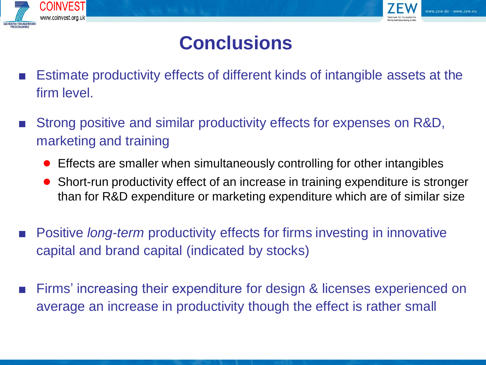



# **Conclusions**

- Estimate productivity effects of different kinds of intangible assets at the firm level.
- Strong positive and similar productivity effects for expenses on R&D, marketing and training
	- Effects are smaller when simultaneously controlling for other intangibles
	- Short-run productivity effect of an increase in training expenditure is stronger than for R&D expenditure or marketing expenditure which are of similar size
- Positive *long-term* productivity effects for firms investing in innovative capital and brand capital (indicated by stocks)
- Firms' increasing their expenditure for design & licenses experienced on average an increase in productivity though the effect is rather small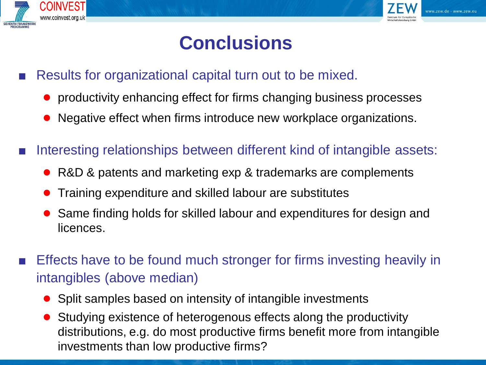



# **Conclusions**

- Results for organizational capital turn out to be mixed.
	- productivity enhancing effect for firms changing business processes
	- Negative effect when firms introduce new workplace organizations.
- Interesting relationships between different kind of intangible assets:
	- R&D & patents and marketing exp & trademarks are complements
	- Training expenditure and skilled labour are substitutes
	- Same finding holds for skilled labour and expenditures for design and licences.
- Effects have to be found much stronger for firms investing heavily in intangibles (above median)
	- Split samples based on intensity of intangible investments
	- Studying existence of heterogenous effects along the productivity distributions, e.g. do most productive firms benefit more from intangible investments than low productive firms?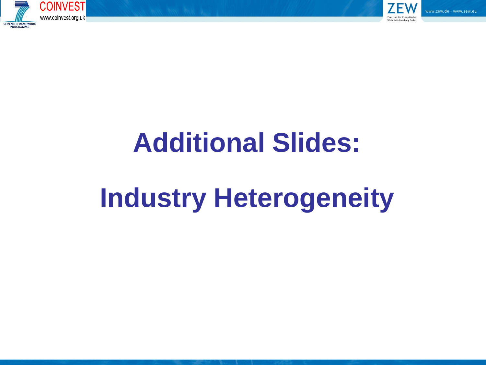



# **Additional Slides:**

# **Industry Heterogeneity**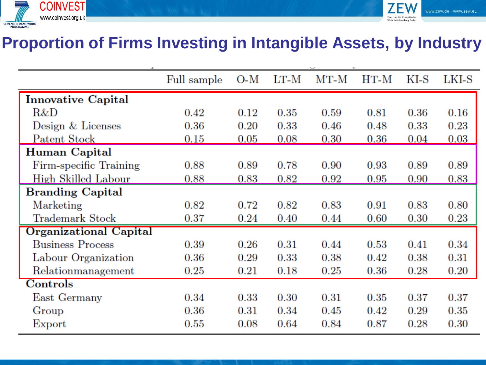



### **Proportion of Firms Investing in Intangible Assets, by Industry**

|                               | Full sample | O-M        | LT-M | MT-M | HT-M       | KI-S | LKI-S |
|-------------------------------|-------------|------------|------|------|------------|------|-------|
| <b>Innovative Capital</b>     |             |            |      |      |            |      |       |
| R&D                           | 0.42        | 0.12       | 0.35 | 0.59 | 0.81       | 0.36 | 0.16  |
| Design & Licenses             | $0.36\,$    | $0.20\,$   | 0.33 | 0.46 | 0.48       | 0.33 | 0.23  |
| Patent Stock                  | 0.15        | 0.05       | 0.08 | 0.30 | 0.36       | 0.04 | 0.03  |
| Human Capital                 |             |            |      |      |            |      |       |
| Firm-specific Training        | 0.88        | 0.89       | 0.78 | 0.90 | $0.93\,$   | 0.89 | 0.89  |
| High Skilled Labour           | 0.88        | $\rm 0.83$ | 0.82 | 0.92 | $\rm 0.95$ | 0.90 | 0.83  |
| <b>Branding Capital</b>       |             |            |      |      |            |      |       |
| Marketing                     | 0.82        | $0.72\,$   | 0.82 | 0.83 | 0.91       | 0.83 | 0.80  |
| Trademark Stock               | 0.37        | 0.24       | 0.40 | 0.44 | 0.60       | 0.30 | 0.23  |
| <b>Organizational Capital</b> |             |            |      |      |            |      |       |
| <b>Business Process</b>       | 0.39        | $0.26\,$   | 0.31 | 0.44 | 0.53       | 0.41 | 0.34  |
| Labour Organization           | $0.36\,$    | 0.29       | 0.33 | 0.38 | 0.42       | 0.38 | 0.31  |
| Relationmanagement            | $0.25\,$    | 0.21       | 0.18 | 0.25 | 0.36       | 0.28 | 0.20  |
| Controls                      |             |            |      |      |            |      |       |
| East Germany                  | 0.34        | 0.33       | 0.30 | 0.31 | 0.35       | 0.37 | 0.37  |
| Group                         | $0.36\,$    | 0.31       | 0.34 | 0.45 | 0.42       | 0.29 | 0.35  |
| Export                        | $0.55\,$    | 0.08       | 0.64 | 0.84 | 0.87       | 0.28 | 0.30  |